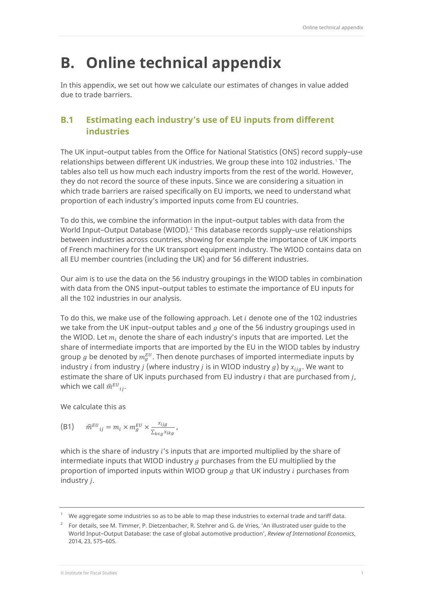# **B. Online technical appendix**

In this appendix, we set out how we calculate our estimates of changes in value added due to trade barriers.

## **B.1 Estimating each industry's use of EU inputs from different industries**

The UK input–output tables from the Office for National Statistics (ONS) record supply–use relationships between different UK industries. We group these into [1](#page-0-0)02 industries.<sup>1</sup> The tables also tell us how much each industry imports from the rest of the world. However, they do not record the source of these inputs. Since we are considering a situation in which trade barriers are raised specifically on EU imports, we need to understand what proportion of each industry's imported inputs come from EU countries.

To do this, we combine the information in the input–output tables with data from the World Input–Output Database (WIOD).[2](#page-0-1) This database records supply–use relationships between industries across countries, showing for example the importance of UK imports of French machinery for the UK transport equipment industry. The WIOD contains data on all EU member countries (including the UK) and for 56 different industries.

Our aim is to use the data on the 56 industry groupings in the WIOD tables in combination with data from the ONS input–output tables to estimate the importance of EU inputs for all the 102 industries in our analysis.

To do this, we make use of the following approach. Let  $i$  denote one of the 102 industries we take from the UK input-output tables and  $q$  one of the 56 industry groupings used in the WIOD. Let  $m_i$  denote the share of each industry's inputs that are imported. Let the share of intermediate imports that are imported by the EU in the WIOD tables by industry group  $g$  be denoted by  $m_g^{EU}$ . Then denote purchases of imported intermediate inputs by industry *i* from industry *j* (where industry *j* is in WIOD industry  $g$ ) by  $x_{iia}$ . We want to estimate the share of UK inputs purchased from EU industry  $i$  that are purchased from  $j$ , which we call  $\widehat{m}^{EU}{}_{ij}.$ 

We calculate this as

(B1) 
$$
\widehat{m}^{EU}_{ij} = m_i \times m_g^{EU} \times \frac{x_{ijg}}{\sum_{k \in g} x_{ikg}},
$$

which is the share of industry  $i$ 's inputs that are imported multiplied by the share of intermediate inputs that WIOD industry  $g$  purchases from the EU multiplied by the proportion of imported inputs within WIOD group  $g$  that UK industry  $i$  purchases from industry *j*.

<span id="page-0-0"></span><sup>1</sup> We aggregate some industries so as to be able to map these industries to external trade and tariff data.

<span id="page-0-1"></span> $2^2$  For details, see M. Timmer, P. Dietzenbacher, R. Stehrer and G. de Vries, 'An illustrated user quide to the World Input–Output Database: the case of global automotive production', *Review of International Economics*, 2014, 23, 575–605.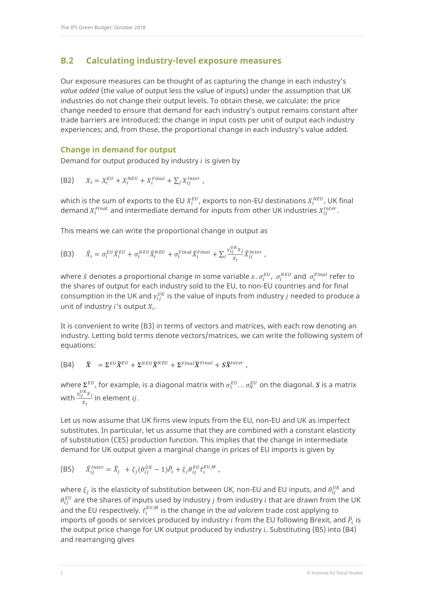### **B.2 Calculating industry-level exposure measures**

Our exposure measures can be thought of as capturing the change in each industry's *value added* (the value of output less the value of inputs) under the assumption that UK industries do not change their output levels. To obtain these, we calculate: the price change needed to ensure that demand for each industry's output remains constant after trade barriers are introduced; the change in input costs per unit of output each industry experiences; and, from those, the proportional change in each industry's value added.

#### **Change in demand for output**

Demand for output produced by industry  $i$  is given by

(B2) 
$$
X_i = X_i^{EU} + X_i^{NEU} + X_i^{Final} + \sum_j X_{ij}^{Inter},
$$

which is the sum of exports to the EU  $X_i^{EU}$ , exports to non-EU destinations  $X_i^{NEU}$ , UK final demand  $X_i^{Final}$  and intermediate demand for inputs from other UK industries  $X_{ij}^{Inter}.$ 

This means we can write the proportional change in output as

$$
\text{(B3)} \qquad \hat{X}_i = \sigma_i^{EU} \hat{X}_i^{EU} + \sigma_i^{NEU} \hat{X}_i^{NEU} + \sigma_i^{Final} \hat{X}_i^{Final} + \sum_i \frac{\gamma_{ij}^{UK} x_j}{x_i} \hat{X}_{ij}^{Inter} \; ,
$$

where  $\hat{x}$  denotes a proportional change in some variable  $x$ .  $\sigma_i^{EU}$ ,  $\sigma_i^{NEU}$  and  $\sigma_i^{Final}$  refer to the shares of output for each industry sold to the EU, to non-EU countries and for final consumption in the UK and  $\gamma_{ij}^{0K}$  is the value of inputs from industry  $j$  needed to produce a unit of industry  $i$ 's output  $X_i$ .

It is convenient to write (B3) in terms of vectors and matrices, with each row denoting an industry. Letting bold terms denote vectors/matrices, we can write the following system of equations:

$$
\text{(B4)} \qquad \widehat{X} = \Sigma^{EU} \widehat{X}^{EU} + \Sigma^{NEU} \widehat{X}^{NEU} + \Sigma^{Final} \widehat{X}^{Final} + S \widehat{X}^{Inter} \ ,
$$

where  $\Sigma^{EU}$ , for example, is a diagonal matrix with  $\sigma^{EU}_1 \ldots \sigma^{EU}_N$  on the diagonal.  $\bm{S}$  is a matrix with  $\frac{\gamma_{ij}^{UK}X_j}{X}$  $\frac{1}{X_i}$  in element *ij*.

Let us now assume that UK firms view inputs from the EU, non-EU and UK as imperfect substitutes. In particular, let us assume that they are combined with a constant elasticity of substitution (CES) production function. This implies that the change in intermediate demand for UK output given a marginal change in prices of EU imports is given by

(B5) 
$$
\hat{X}_{ij}^{Inter} = \hat{X}_j + \xi_j (\theta_{ij}^{UK} - 1) \hat{P}_i + \xi_j \theta_{ij}^{EU} \hat{\tau}_i^{EU,M},
$$

where  $\xi_j$  is the elasticity of substitution between UK, non-EU and EU inputs, and  $\theta^{UK}_{ij}$  and  $\theta_{ij}^{EU}$  are the shares of inputs used by industry  $j$  from industry  $i$  that are drawn from the UK and the EU respectively.  $\hat{\tau}^{EU, M}_i$  is the change in the *ad valorem* trade cost applying to imports of goods or services produced by industry  $i$  from the EU following Brexit, and  $\hat{P}_i$  is the output price change for UK output produced by industry  $i$ . Substituting (B5) into (B4) and rearranging gives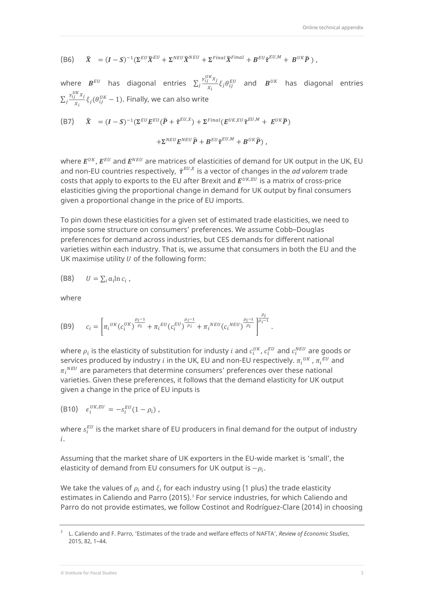(B6) 
$$
\hat{X} = (I - S)^{-1} (\Sigma^{EU} \hat{X}^{EU} + \Sigma^{NEU} \hat{X}^{NEU} + \Sigma^{Final} \hat{X}^{Final} + B^{EU} \hat{\tau}^{EU,M} + B^{UK} \hat{P}),
$$

where  $\bm{B}^{EU}$  has diagonal entries  $\sum_j \frac{v_{ij}^{U K} x_j}{x_i}$  $a_j \frac{m_j m_j}{x_i} \xi_j \theta_{ij}^{EU}$  and  $B^{UK}$  has diagonal entries  $\sum_j \frac{\gamma_{ij}^{UK}X_j}{X}$  $\int \frac{f(y-x)}{x_i} \xi_j(\theta_{ij}^{UK} - 1)$ . Finally, we can also write

(B7) 
$$
\widehat{X} = (I - S)^{-1} (\Sigma^{EU} E^{EU} (\widehat{P} + \widehat{\tau}^{EU,X}) + \Sigma^{Final} (E^{UK,EU} \widehat{\tau}^{EU,M} + E^{UK} \widehat{P})
$$

$$
+ \Sigma^{NEU} E^{NEU} \widehat{P} + B^{EU} \widehat{\tau}^{EU,M} + B^{UK} \widehat{P}),
$$

where  $E^{UK}$ ,  $E^{EU}$  and  $E^{NEU}$  are matrices of elasticities of demand for UK output in the UK, EU and non-EU countries respectively,  $\hat{\tau}^{EU,X}$  is a vector of changes in the *ad valorem* trade costs that apply to exports to the EU after Brexit and  $E^{UK, EU}$  is a matrix of cross-price elasticities giving the proportional change in demand for UK output by final consumers given a proportional change in the price of EU imports.

To pin down these elasticities for a given set of estimated trade elasticities, we need to impose some structure on consumers' preferences. We assume Cobb–Douglas preferences for demand across industries, but CES demands for different national varieties within each industry. That is, we assume that consumers in both the EU and the UK maximise utility  $U$  of the following form:

(B8) 
$$
U = \sum_i \alpha_i \ln c_i ,
$$

where

(B9) 
$$
c_i = \left[ \pi_i^{UK} (c_i^{UK})^{\frac{\rho_i - 1}{\rho_i}} + \pi_i^{EU} (c_i^{EU})^{\frac{\rho_i - 1}{\rho_i}} + \pi_i^{NEU} (c_i^{NEU})^{\frac{\rho_i - 1}{\rho_i}} \right]^{1/2}.
$$

where  $\rho_i$  is the elasticity of substitution for industy  $i$  and  $c_i^{U K}$ ,  $c_i^{EU}$  and  $c_i^{NEU}$  are goods or services produced by industry  $i$  in the UK, EU and non-EU respectively.  $\pi_i^{\,\,\,\mu\,\,\kappa},\pi_i^{\,\,\,\kappa\,\,\theta}$  and  $\pi_i{}^{NEU}$  are parameters that determine consumers' preferences over these national varieties. Given these preferences, it follows that the demand elasticity for UK output given a change in the price of EU inputs is

$$
(B10) \quad \epsilon_i^{UK,EU} = -s_i^{EU}(1-\rho_i) \; ,
$$

where  $s_i^{EU}$  is the market share of EU producers in final demand for the output of industry .

Assuming that the market share of UK exporters in the EU-wide market is 'small', the elasticity of demand from EU consumers for UK output is  $-\rho_i$ .

We take the values of  $\rho_i$  and  $\xi_i$  for each industry using (1 plus) the trade elasticity estimates in Caliendo and Parro (2015).<sup>[3](#page-2-0)</sup> For service industries, for which Caliendo and Parro do not provide estimates, we follow Costinot and Rodríguez-Clare (2014) in choosing

<span id="page-2-0"></span><sup>3</sup> L. Caliendo and F. Parro, 'Estimates of the trade and welfare effects of NAFTA', *Review of Economic Studies*, 2015, 82, 1–44.